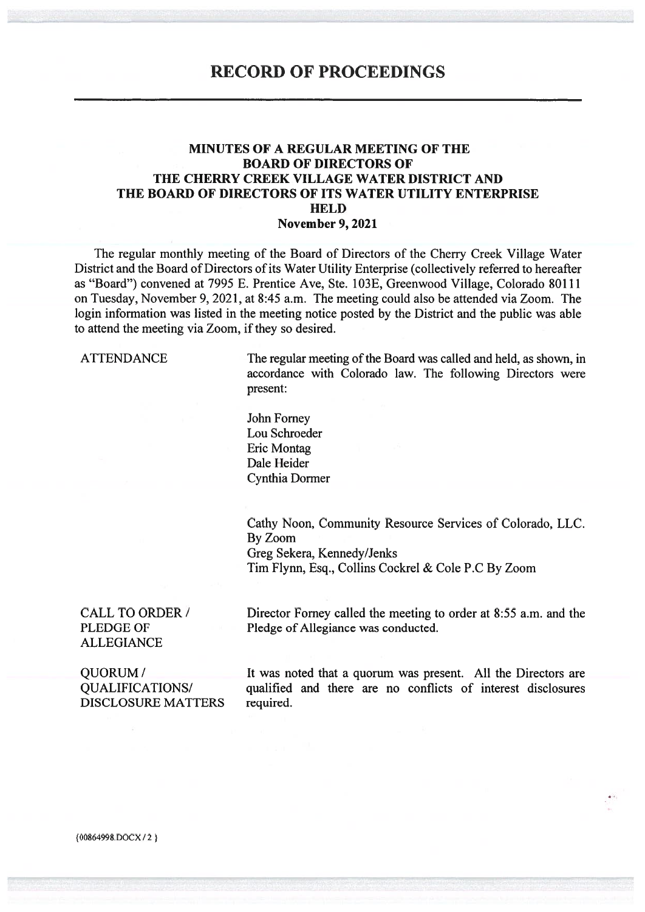### **RECORD OF PROCEEDINGS**

#### **MINUTES OF A REGULAR MEETING OF THE BOARD OF DIRECTORS OF** THE CHERRY CREEK VILLAGE WATER DISTRICT AND THE BOARD OF DIRECTORS OF ITS WATER UTILITY ENTERPRISE **HELD November 9, 2021**

The regular monthly meeting of the Board of Directors of the Cherry Creek Village Water District and the Board of Directors of its Water Utility Enterprise (collectively referred to hereafter as "Board") convened at 7995 E. Prentice Ave, Ste. 103E, Greenwood Village, Colorado 80111 on Tuesday, November 9, 2021, at 8:45 a.m. The meeting could also be attended via Zoom. The login information was listed in the meeting notice posted by the District and the public was able to attend the meeting via Zoom, if they so desired.

**ATTENDANCE** 

The regular meeting of the Board was called and held, as shown, in accordance with Colorado law. The following Directors were present:

John Forney Lou Schroeder Eric Montag Dale Heider **Cynthia Dormer** 

Cathy Noon, Community Resource Services of Colorado, LLC. By Zoom Greg Sekera, Kennedy/Jenks Tim Flynn, Esq., Collins Cockrel & Cole P.C By Zoom

**CALL TO ORDER / PLEDGE OF ALLEGIANCE** 

Director Forney called the meeting to order at 8:55 a.m. and the Pledge of Allegiance was conducted.

**OUORUM/ QUALIFICATIONS/ DISCLOSURE MATTERS** 

It was noted that a quorum was present. All the Directors are qualified and there are no conflicts of interest disclosures required.

{00864998.DOCX/2}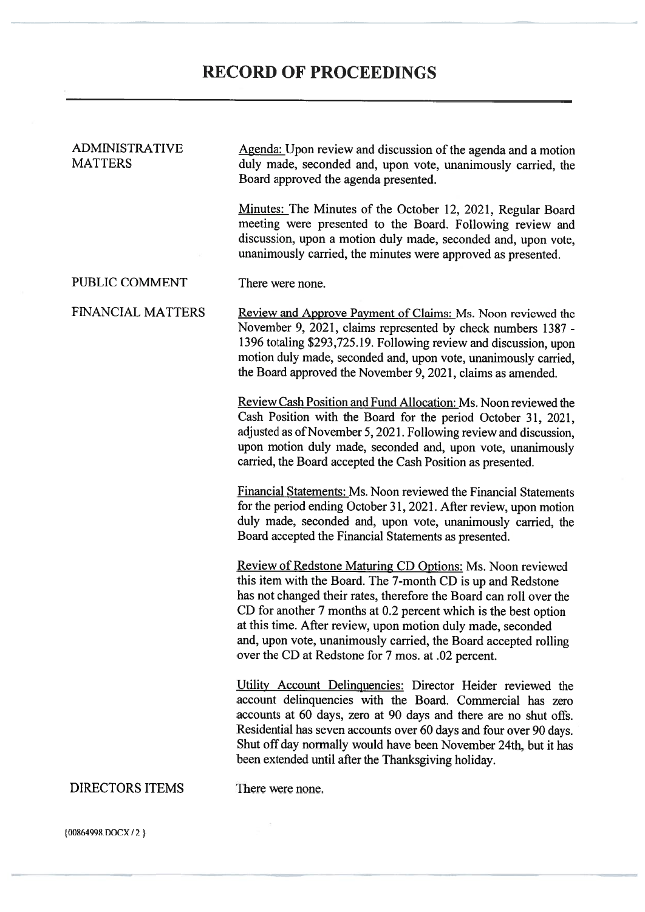| <b>ADMINISTRATIVE</b><br><b>MATTERS</b> | Agenda: Upon review and discussion of the agenda and a motion<br>duly made, seconded and, upon vote, unanimously carried, the<br>Board approved the agenda presented.                                                                                                                                                                                                                                                                                     |  |  |  |
|-----------------------------------------|-----------------------------------------------------------------------------------------------------------------------------------------------------------------------------------------------------------------------------------------------------------------------------------------------------------------------------------------------------------------------------------------------------------------------------------------------------------|--|--|--|
|                                         | Minutes: The Minutes of the October 12, 2021, Regular Board<br>meeting were presented to the Board. Following review and<br>discussion, upon a motion duly made, seconded and, upon vote,<br>unanimously carried, the minutes were approved as presented.                                                                                                                                                                                                 |  |  |  |
| PUBLIC COMMENT                          | There were none.                                                                                                                                                                                                                                                                                                                                                                                                                                          |  |  |  |
| <b>FINANCIAL MATTERS</b>                | <b>Review and Approve Payment of Claims: Ms. Noon reviewed the</b><br>November 9, 2021, claims represented by check numbers 1387 -<br>1396 totaling \$293,725.19. Following review and discussion, upon<br>motion duly made, seconded and, upon vote, unanimously carried,<br>the Board approved the November 9, 2021, claims as amended.                                                                                                                 |  |  |  |
|                                         | Review Cash Position and Fund Allocation: Ms. Noon reviewed the<br>Cash Position with the Board for the period October 31, 2021,<br>adjusted as of November 5, 2021. Following review and discussion,<br>upon motion duly made, seconded and, upon vote, unanimously<br>carried, the Board accepted the Cash Position as presented.                                                                                                                       |  |  |  |
|                                         | <b>Financial Statements: Ms. Noon reviewed the Financial Statements</b><br>for the period ending October 31, 2021. After review, upon motion<br>duly made, seconded and, upon vote, unanimously carried, the<br>Board accepted the Financial Statements as presented.                                                                                                                                                                                     |  |  |  |
|                                         | Review of Redstone Maturing CD Options: Ms. Noon reviewed<br>this item with the Board. The 7-month CD is up and Redstone<br>has not changed their rates, therefore the Board can roll over the<br>CD for another 7 months at 0.2 percent which is the best option<br>at this time. After review, upon motion duly made, seconded<br>and, upon vote, unanimously carried, the Board accepted rolling<br>over the CD at Redstone for 7 mos. at .02 percent. |  |  |  |
|                                         | Utility Account Delinquencies: Director Heider reviewed the<br>account delinquencies with the Board. Commercial has zero<br>accounts at 60 days, zero at 90 days and there are no shut offs.<br>Residential has seven accounts over 60 days and four over 90 days.<br>Shut off day normally would have been November 24th, but it has<br>been extended until after the Thanksgiving holiday.                                                              |  |  |  |
| <b>DIRECTORS ITEMS</b>                  | There were none.                                                                                                                                                                                                                                                                                                                                                                                                                                          |  |  |  |

 ${00864998. \text{DOCX}/2}$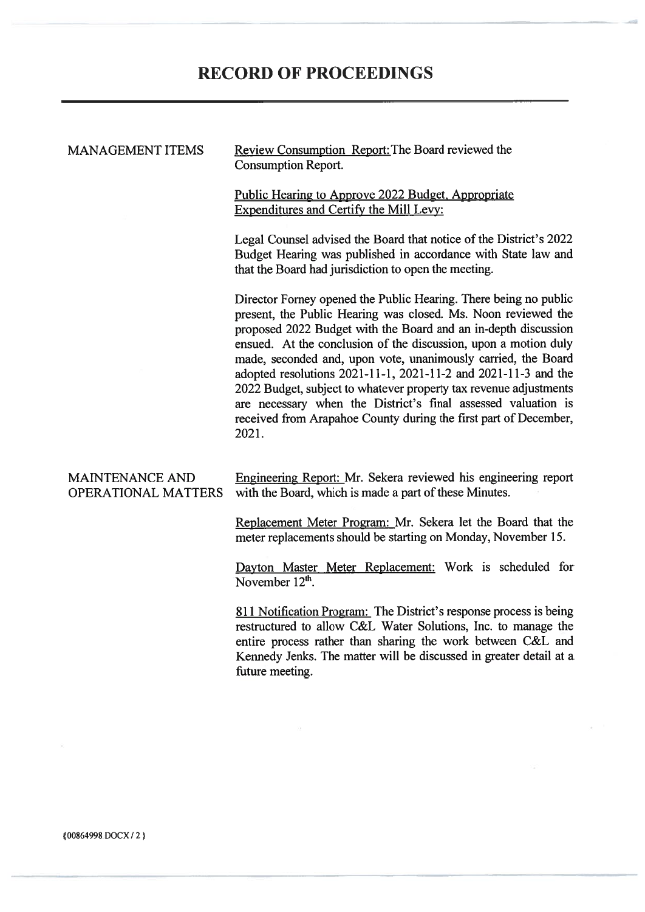# **RECORD OF PROCEEDINGS**

#### **MANAGEMENT ITEMS**

Review Consumption Report: The Board reviewed the **Consumption Report.** 

Public Hearing to Approve 2022 Budget, Appropriate Expenditures and Certify the Mill Levy:

Legal Counsel advised the Board that notice of the District's 2022 Budget Hearing was published in accordance with State law and that the Board had jurisdiction to open the meeting.

Director Forney opened the Public Hearing. There being no public present, the Public Hearing was closed. Ms. Noon reviewed the proposed 2022 Budget with the Board and an in-depth discussion ensued. At the conclusion of the discussion, upon a motion duly made, seconded and, upon vote, unanimously carried, the Board adopted resolutions 2021-11-1, 2021-11-2 and 2021-11-3 and the 2022 Budget, subject to whatever property tax revenue adjustments are necessary when the District's final assessed valuation is received from Arapahoe County during the first part of December, 2021.

| MAINTENANCE AND | Engineering Report: Mr. Sekera reviewed his engineering report             |
|-----------------|----------------------------------------------------------------------------|
|                 | OPERATIONAL MATTERS with the Board, which is made a part of these Minutes. |

Replacement Meter Program: Mr. Sekera let the Board that the meter replacements should be starting on Monday. November 15.

Dayton Master Meter Replacement: Work is scheduled for November  $12<sup>th</sup>$ 

811 Notification Program: The District's response process is being restructured to allow C&L Water Solutions, Inc. to manage the entire process rather than sharing the work between C&L and Kennedy Jenks. The matter will be discussed in greater detail at a future meeting.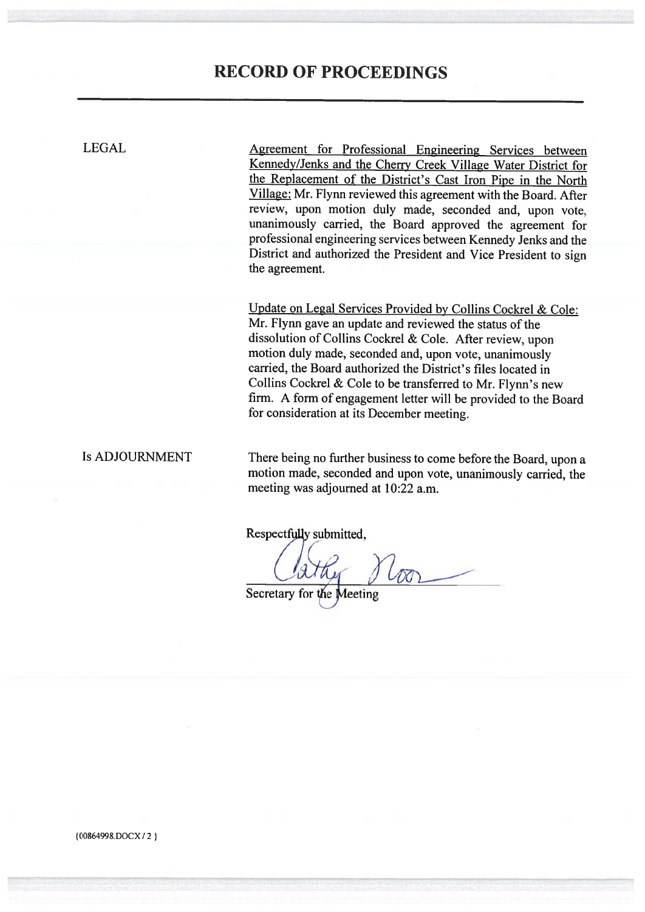## **RECORD OF PROCEEDINGS**

**LEGAL** 

Agreement for Professional Engineering Services between Kennedy/Jenks and the Cherry Creek Village Water District for the Replacement of the District's Cast Iron Pipe in the North Village: Mr. Flynn reviewed this agreement with the Board. After review, upon motion duly made, seconded and, upon vote, unanimously carried, the Board approved the agreement for professional engineering services between Kennedy Jenks and the District and authorized the President and Vice President to sign the agreement.

Update on Legal Services Provided by Collins Cockrel & Cole: Mr. Flynn gave an update and reviewed the status of the dissolution of Collins Cockrel & Cole. After review, upon motion duly made, seconded and, upon vote, unanimously carried, the Board authorized the District's files located in Collins Cockrel & Cole to be transferred to Mr. Flynn's new firm. A form of engagement letter will be provided to the Board for consideration at its December meeting.

**Is ADJOURNMENT** 

There being no further business to come before the Board, upon a motion made, seconded and upon vote, unanimously carried, the meeting was adjourned at 10:22 a.m.

Respectfully submitted,

 $1600$ 

Secretary for the Meeting

{00864998.DOCX/2}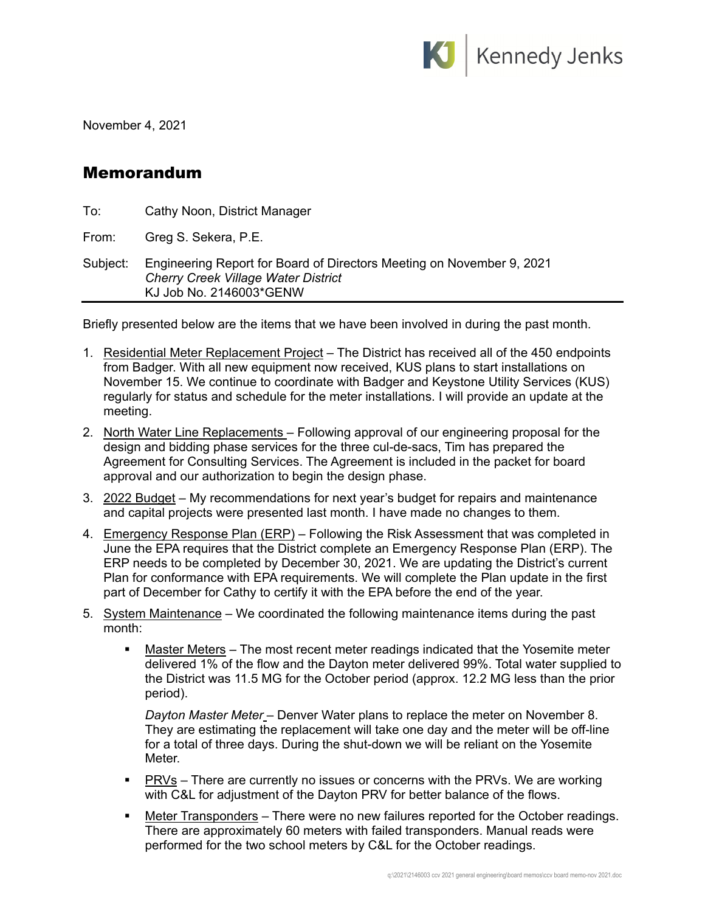

November 4, 2021

### Memorandum

| To:      | Cathy Noon, District Manager                                                                                                                   |  |
|----------|------------------------------------------------------------------------------------------------------------------------------------------------|--|
| From:    | Greg S. Sekera, P.E.                                                                                                                           |  |
| Subject: | Engineering Report for Board of Directors Meeting on November 9, 2021<br><b>Cherry Creek Village Water District</b><br>KJ Job No. 2146003*GENW |  |

Briefly presented below are the items that we have been involved in during the past month.

- 1. Residential Meter Replacement Project The District has received all of the 450 endpoints from Badger. With all new equipment now received, KUS plans to start installations on November 15. We continue to coordinate with Badger and Keystone Utility Services (KUS) regularly for status and schedule for the meter installations. I will provide an update at the meeting.
- 2. North Water Line Replacements Following approval of our engineering proposal for the design and bidding phase services for the three cul-de-sacs, Tim has prepared the Agreement for Consulting Services. The Agreement is included in the packet for board approval and our authorization to begin the design phase.
- 3. 2022 Budget My recommendations for next year's budget for repairs and maintenance and capital projects were presented last month. I have made no changes to them.
- 4. Emergency Response Plan (ERP) Following the Risk Assessment that was completed in June the EPA requires that the District complete an Emergency Response Plan (ERP). The ERP needs to be completed by December 30, 2021. We are updating the District's current Plan for conformance with EPA requirements. We will complete the Plan update in the first part of December for Cathy to certify it with the EPA before the end of the year.
- 5. System Maintenance We coordinated the following maintenance items during the past month:
	- Master Meters The most recent meter readings indicated that the Yosemite meter delivered 1% of the flow and the Dayton meter delivered 99%. Total water supplied to the District was 11.5 MG for the October period (approx. 12.2 MG less than the prior period).

*Dayton Master Meter* – Denver Water plans to replace the meter on November 8. They are estimating the replacement will take one day and the meter will be off-line for a total of three days. During the shut-down we will be reliant on the Yosemite Meter.

- **PRVs** There are currently no issues or concerns with the PRVs. We are working with C&L for adjustment of the Dayton PRV for better balance of the flows.
- **Meter Transponders** There were no new failures reported for the October readings. There are approximately 60 meters with failed transponders. Manual reads were performed for the two school meters by C&L for the October readings.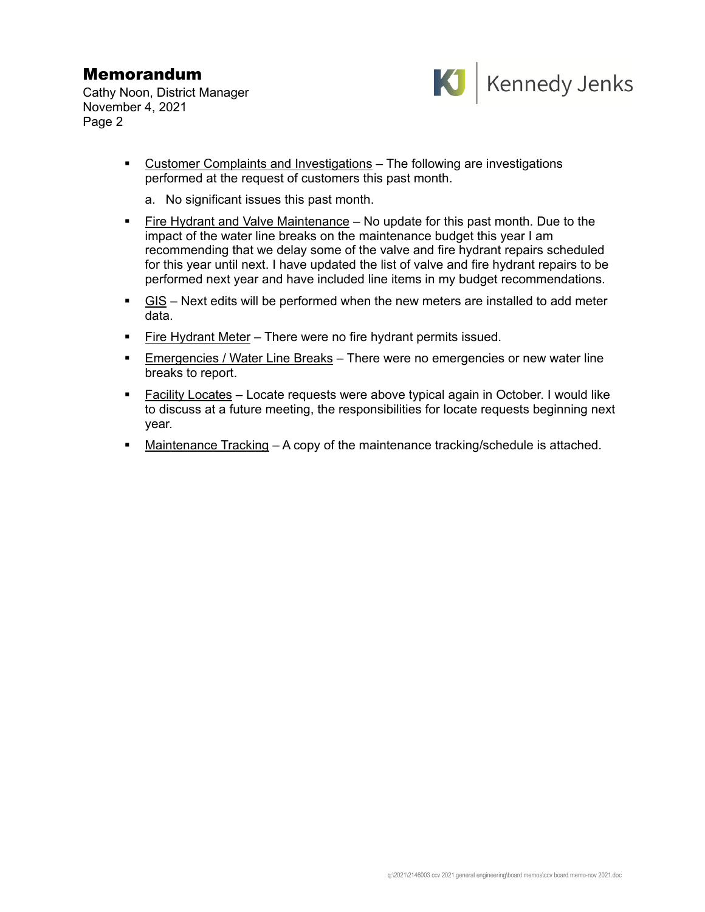## Memorandum

Cathy Noon, District Manager November 4, 2021 Page 2



- Customer Complaints and Investigations The following are investigations performed at the request of customers this past month.
	- a. No significant issues this past month.
- Fire Hydrant and Valve Maintenance No update for this past month. Due to the impact of the water line breaks on the maintenance budget this year I am recommending that we delay some of the valve and fire hydrant repairs scheduled for this year until next. I have updated the list of valve and fire hydrant repairs to be performed next year and have included line items in my budget recommendations.
- GIS Next edits will be performed when the new meters are installed to add meter data.
- **Fire Hydrant Meter There were no fire hydrant permits issued.**
- **Emergencies / Water Line Breaks** There were no emergencies or new water line breaks to report.
- Facility Locates Locate requests were above typical again in October. I would like to discuss at a future meeting, the responsibilities for locate requests beginning next year.
- Maintenance Tracking A copy of the maintenance tracking/schedule is attached.